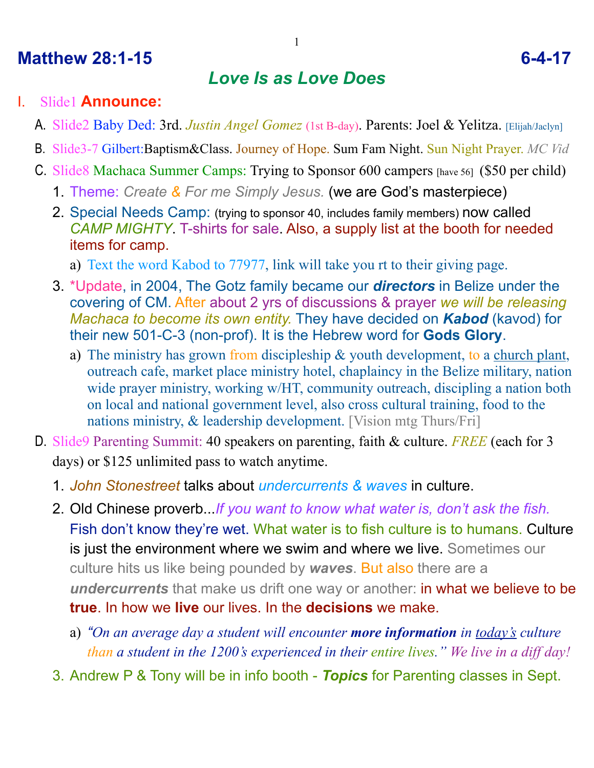## **Matthew 28:1-15 6-4-17**

## *Love Is as Love Does*

#### I. Slide1 **Announce:**

- A. Slide2 Baby Ded: 3rd. *Justin Angel Gomez* (1st B-day). Parents: Joel & Yelitza. [Elijah/Jaclyn]
- B. Slide3-7 Gilbert:Baptism&Class. Journey of Hope. Sum Fam Night. Sun Night Prayer. *MC Vid*
- C. Slide8 Machaca Summer Camps: Trying to Sponsor 600 campers [have 56] (\$50 per child)
	- 1. Theme: *Create & For me Simply Jesus.* (we are God's masterpiece)
	- 2. Special Needs Camp: (trying to sponsor 40, includes family members) now called *CAMP MIGHTY*. T-shirts for sale. Also, a supply list at the booth for needed items for camp.
		- a) Text the word Kabod to 77977, link will take you rt to their giving page.
	- 3. \*Update, in 2004, The Gotz family became our *directors* in Belize under the covering of CM. After about 2 yrs of discussions & prayer *we will be releasing Machaca to become its own entity.* They have decided on *Kabod* (kavod) for their new 501-C-3 (non-prof). It is the Hebrew word for **Gods Glory**.
		- a) The ministry has grown from discipleship & youth development, to a church plant, outreach cafe, market place ministry hotel, chaplaincy in the Belize military, nation wide prayer ministry, working w/HT, community outreach, discipling a nation both on local and national government level, also cross cultural training, food to the nations ministry, & leadership development. [Vision mtg Thurs/Fri]
- D. Slide9 Parenting Summit: 40 speakers on parenting, faith & culture. *FREE* (each for 3 days) or \$125 unlimited pass to watch anytime.
	- 1. *John Stonestreet* talks about *undercurrents & waves* in culture.
	- 2. Old Chinese proverb...*If you want to know what water is, don't ask the fish.*  Fish don't know they're wet. What water is to fish culture is to humans. Culture is just the environment where we swim and where we live. Sometimes our culture hits us like being pounded by *waves*. But also there are a *undercurrents* that make us drift one way or another: in what we believe to be **true**. In how we **live** our lives. In the **decisions** we make.
		- a) *"On an average day a student will encounter more information in today's culture than a student in the 1200's experienced in their entire lives." We live in a diff day!*
	- 3. Andrew P & Tony will be in info booth *Topics* for Parenting classes in Sept.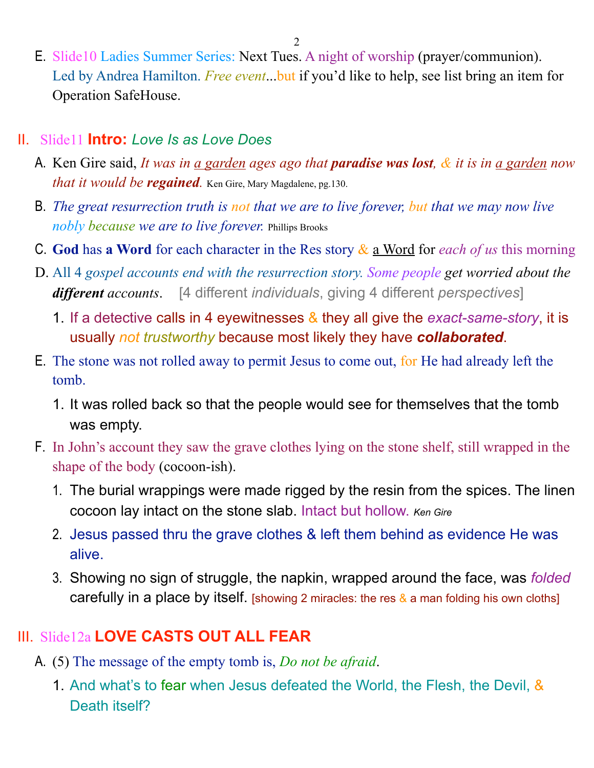E. Slide10 Ladies Summer Series: Next Tues. A night of worship (prayer/communion). Led by Andrea Hamilton. *Free event*...but if you'd like to help, see list bring an item for Operation SafeHouse.

#### II. Slide11 **Intro:** *Love Is as Love Does*

- A. Ken Gire said, *It was in a garden ages ago that paradise was lost, & it is in a garden now that it would be regained.* Ken Gire, Mary Magdalene, pg.130.
- B. *The great resurrection truth is not that we are to live forever, but that we may now live nobly because we are to live forever.* Phillips Brooks
- C. **God** has **a Word** for each character in the Res story & a Word for *each of us* this morning
- D. All 4 *gospel accounts end with the resurrection story. Some people get worried about the different accounts*. [4 different *individuals*, giving 4 different *perspectives*]
	- 1. If a detective calls in 4 eyewitnesses & they all give the *exact-same-story*, it is usually *not trustworthy* because most likely they have *collaborated*.
- E. The stone was not rolled away to permit Jesus to come out, for He had already left the tomb.
	- 1. It was rolled back so that the people would see for themselves that the tomb was empty.
- F. In John's account they saw the grave clothes lying on the stone shelf, still wrapped in the shape of the body (cocoon-ish).
	- 1. The burial wrappings were made rigged by the resin from the spices. The linen cocoon lay intact on the stone slab. Intact but hollow. *Ken Gire*
	- 2. Jesus passed thru the grave clothes & left them behind as evidence He was alive.
	- 3. Showing no sign of struggle, the napkin, wrapped around the face, was *folded* carefully in a place by itself. [showing 2 miracles: the res  $\&$  a man folding his own cloths]

## III. Slide12a **LOVE CASTS OUT ALL FEAR**

- A. (5) The message of the empty tomb is, *Do not be afraid*.
	- 1. And what's to fear when Jesus defeated the World, the Flesh, the Devil, & Death itself?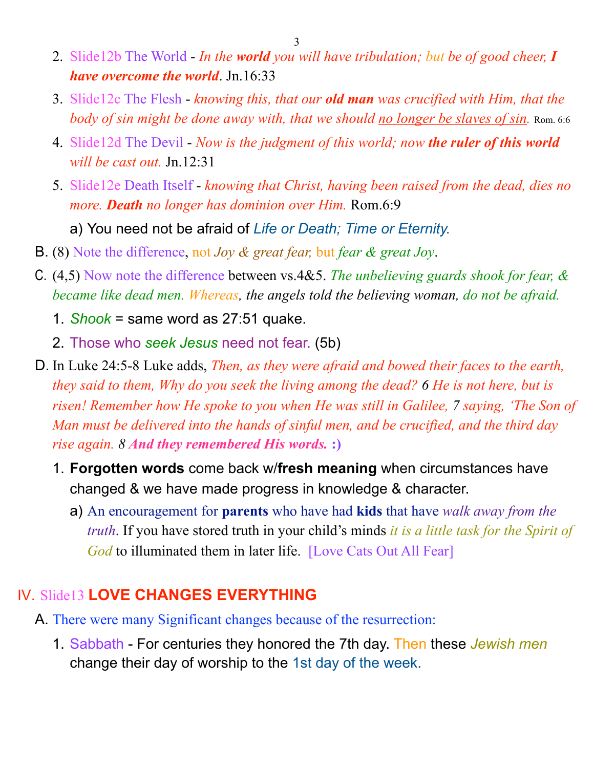- 3
- 2. Slide12b The World *In the world you will have tribulation; but be of good cheer, I have overcome the world*. Jn.16:33
- 3. Slide12c The Flesh *knowing this, that our old man was crucified with Him, that the body of sin might be done away with, that we should no longer be slaves of sin.* Rom. 6:6
- 4. Slide12d The Devil *Now is the judgment of this world; now the ruler of this world will be cast out.* Jn.12:31
- 5. Slide12e Death Itself *knowing that Christ, having been raised from the dead, dies no more. Death no longer has dominion over Him.* Rom.6:9

a) You need not be afraid of *Life or Death; Time or Eternity.*

- B. (8) Note the difference, not *Joy & great fear,* but *fear & great Joy*.
- C. (4,5) Now note the difference between vs.4&5. *The unbelieving guards shook for fear, & became like dead men. Whereas, the angels told the believing woman, do not be afraid.*
	- 1. *Shook* = same word as 27:51 quake.
	- 2. Those who *seek Jesus* need not fear. (5b)
- D. In Luke 24:5-8 Luke adds, *Then, as they were afraid and bowed their faces to the earth, they said to them, Why do you seek the living among the dead? 6 He is not here, but is risen! Remember how He spoke to you when He was still in Galilee, 7 saying, 'The Son of Man must be delivered into the hands of sinful men, and be crucified, and the third day rise again. 8 And they remembered His words.* **:)**
	- 1. **Forgotten words** come back w/**fresh meaning** when circumstances have changed & we have made progress in knowledge & character.
		- a) An encouragement for **parents** who have had **kids** that have *walk away from the truth*. If you have stored truth in your child's minds *it is a little task for the Spirit of God* to illuminated them in later life. [Love Cats Out All Fear]

# IV. Slide13 **LOVE CHANGES EVERYTHING**

- A. There were many Significant changes because of the resurrection:
	- 1. Sabbath For centuries they honored the 7th day. Then these *Jewish men* change their day of worship to the 1st day of the week.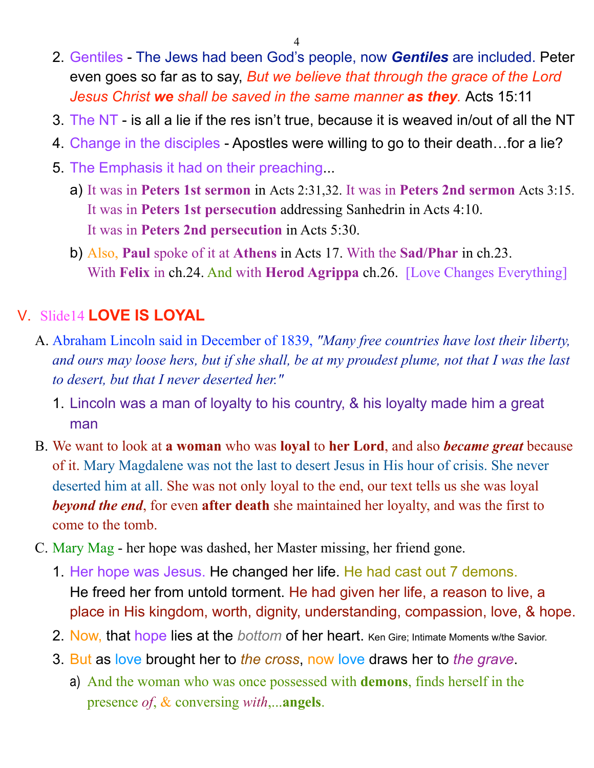- 4
- 2. Gentiles The Jews had been God's people, now *Gentiles* are included. Peter even goes so far as to say, *But we believe that through the grace of the Lord Jesus Christ we shall be saved in the same manner as they.* Acts 15:11
- 3. The NT is all a lie if the res isn't true, because it is weaved in/out of all the NT
- 4. Change in the disciples Apostles were willing to go to their death…for a lie?
- 5. The Emphasis it had on their preaching...
	- a) It was in **Peters 1st sermon** in Acts 2:31,32. It was in **Peters 2nd sermon** Acts 3:15. It was in **Peters 1st persecution** addressing Sanhedrin in Acts 4:10. It was in **Peters 2nd persecution** in Acts 5:30.
	- b) Also, **Paul** spoke of it at **Athens** in Acts 17. With the **Sad/Phar** in ch.23. With **Felix** in ch.24. And with **Herod Agrippa** ch.26. [Love Changes Everything]

## V. Slide14 **LOVE IS LOYAL**

- A. Abraham Lincoln said in December of 1839, *"Many free countries have lost their liberty, and ours may loose hers, but if she shall, be at my proudest plume, not that I was the last to desert, but that I never deserted her."*
	- 1. Lincoln was a man of loyalty to his country, & his loyalty made him a great man
- B. We want to look at **a woman** who was **loyal** to **her Lord**, and also *became great* because of it. Mary Magdalene was not the last to desert Jesus in His hour of crisis. She never deserted him at all. She was not only loyal to the end, our text tells us she was loyal *beyond the end*, for even **after death** she maintained her loyalty, and was the first to come to the tomb.
- C. Mary Mag her hope was dashed, her Master missing, her friend gone.
	- 1. Her hope was Jesus. He changed her life. He had cast out 7 demons. He freed her from untold torment. He had given her life, a reason to live, a place in His kingdom, worth, dignity, understanding, compassion, love, & hope.
	- 2. Now, that hope lies at the *bottom* of her heart. Ken Gire; Intimate Moments w/the Savior.
	- 3. But as love brought her to *the cross*, now love draws her to *the grave*.
		- a) And the woman who was once possessed with **demons**, finds herself in the presence *of*, & conversing *with*,...**angels**.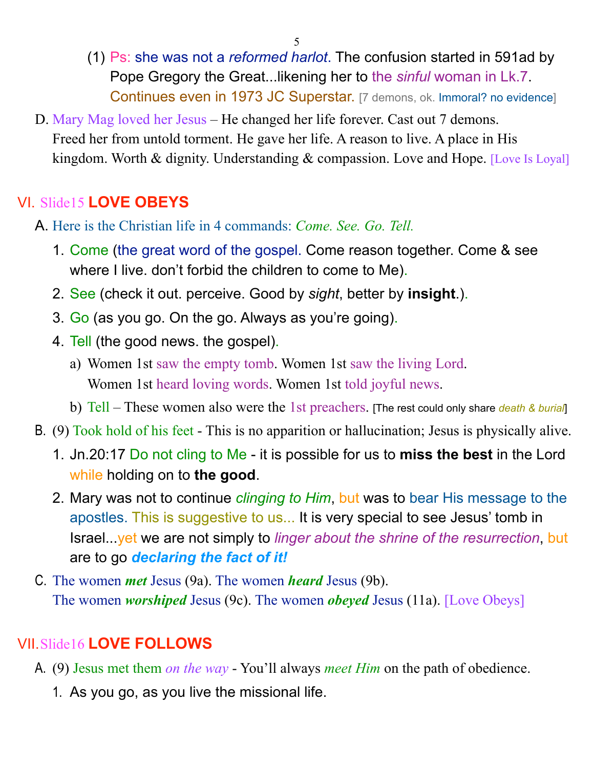- (1) Ps: she was not a *reformed harlot*. The confusion started in 591ad by Pope Gregory the Great...likening her to the *sinful* woman in Lk.7. Continues even in 1973 JC Superstar. [7 demons, ok. Immoral? no evidence]
- D. Mary Mag loved her Jesus He changed her life forever. Cast out 7 demons. Freed her from untold torment. He gave her life. A reason to live. A place in His kingdom. Worth & dignity. Understanding & compassion. Love and Hope. [Love Is Loyal]

## VI. Slide15 **LOVE OBEYS**

- A. Here is the Christian life in 4 commands: *Come. See. Go. Tell.* 
	- 1. Come (the great word of the gospel. Come reason together. Come & see where I live. don't forbid the children to come to Me).
	- 2. See (check it out. perceive. Good by *sight*, better by **insight**.).
	- 3. Go (as you go. On the go. Always as you're going).
	- 4. Tell (the good news. the gospel).
		- a) Women 1st saw the empty tomb. Women 1st saw the living Lord. Women 1st heard loving words. Women 1st told joyful news.
		- b) Tell These women also were the 1st preachers. [The rest could only share *death & burial*]
- B. (9) Took hold of his feet This is no apparition or hallucination; Jesus is physically alive.
	- 1. Jn.20:17 Do not cling to Me it is possible for us to **miss the best** in the Lord while holding on to **the good**.
	- 2. Mary was not to continue *clinging to Him*, but was to bear His message to the apostles. This is suggestive to us... It is very special to see Jesus' tomb in Israel...yet we are not simply to *linger about the shrine of the resurrection*, but are to go *declaring the fact of it!*
- C. The women *met* Jesus (9a). The women *heard* Jesus (9b). The women *worshiped* Jesus (9c). The women *obeyed* Jesus (11a). [Love Obeys]

# VII.Slide16 **LOVE FOLLOWS**

- A. (9) Jesus met them *on the way* You'll always *meet Him* on the path of obedience.
	- 1. As you go, as you live the missional life.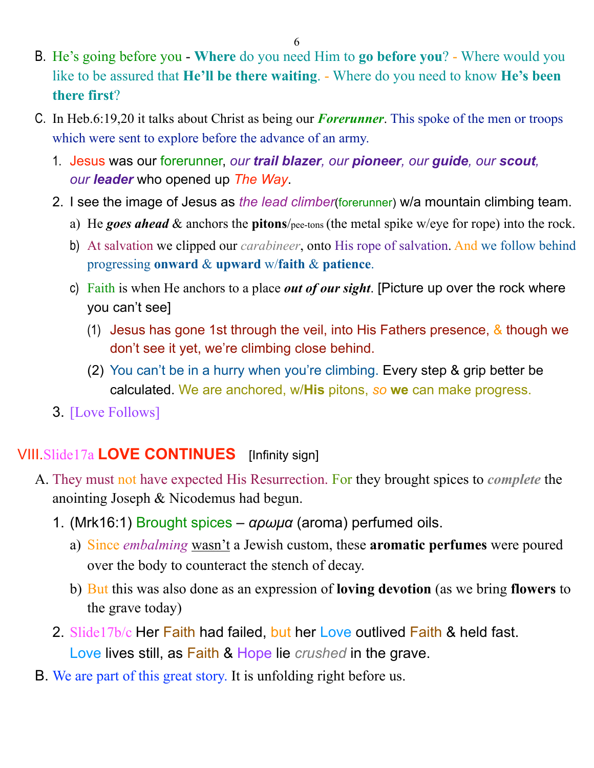- B. He's going before you **Where** do you need Him to **go before you**? Where would you like to be assured that **He'll be there waiting**. - Where do you need to know **He's been there first**?
- C. In Heb.6:19,20 it talks about Christ as being our *Forerunner*. This spoke of the men or troops which were sent to explore before the advance of an army.
	- 1. Jesus was our forerunner, *our trail blazer, our pioneer, our guide, our scout, our leader* who opened up *The Way*.
	- 2. I see the image of Jesus as *the lead climber*(forerunner) w/a mountain climbing team.
		- a) He *goes ahead* & anchors the **pitons**/pee-tons (the metal spike w/eye for rope) into the rock.
		- b) At salvation we clipped our *carabineer*, onto His rope of salvation. And we follow behind progressing **onward** & **upward** w/**faith** & **patience**.
		- c) Faith is when He anchors to a place *out of our sight*. [Picture up over the rock where you can't see]
			- (1) Jesus has gone 1st through the veil, into His Fathers presence,  $\&$  though we don't see it yet, we're climbing close behind.
			- (2) You can't be in a hurry when you're climbing. Every step & grip better be calculated. We are anchored, w/**His** pitons, *so* **we** can make progress.
	- 3. [Love Follows]

#### VIII.Slide17a **LOVE CONTINUES** [Infinity sign]

- A. They must not have expected His Resurrection. For they brought spices to *complete* the anointing Joseph & Nicodemus had begun.
	- 1. (Mrk16:1) Brought spices *αρωµα* (aroma) perfumed oils.
		- a) Since *embalming* wasn't a Jewish custom, these **aromatic perfumes** were poured over the body to counteract the stench of decay.
		- b) But this was also done as an expression of **loving devotion** (as we bring **flowers** to the grave today)
	- 2. Slide17b/c Her Faith had failed, but her Love outlived Faith & held fast. Love lives still, as Faith & Hope lie *crushed* in the grave.
- B. We are part of this great story. It is unfolding right before us.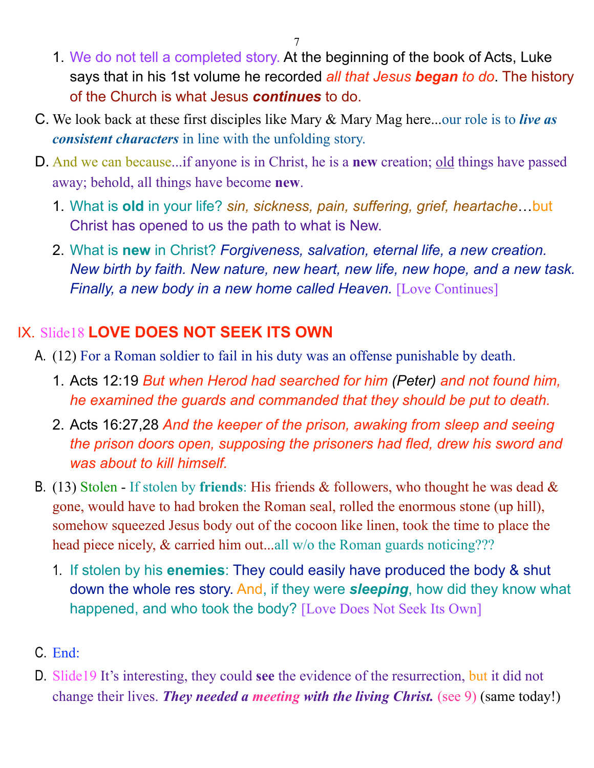- 1. We do not tell a completed story. At the beginning of the book of Acts, Luke says that in his 1st volume he recorded *all that Jesus began to do*. The history of the Church is what Jesus *continues* to do.
- C. We look back at these first disciples like Mary & Mary Mag here...our role is to *live as consistent characters* in line with the unfolding story.
- D. And we can because...if anyone is in Christ, he is a **new** creation; old things have passed away; behold, all things have become **new**.
	- 1. What is **old** in your life? *sin, sickness, pain, suffering, grief, heartache*…but Christ has opened to us the path to what is New.
	- 2. What is **new** in Christ? *Forgiveness, salvation, eternal life, a new creation. New birth by faith. New nature, new heart, new life, new hope, and a new task. Finally, a new body in a new home called Heaven.* [Love Continues]

## IX. Slide18 **LOVE DOES NOT SEEK ITS OWN**

- A. (12) For a Roman soldier to fail in his duty was an offense punishable by death.
	- 1. Acts 12:19 *But when Herod had searched for him (Peter) and not found him, he examined the guards and commanded that they should be put to death.*
	- 2. Acts 16:27,28 *And the keeper of the prison, awaking from sleep and seeing the prison doors open, supposing the prisoners had fled, drew his sword and was about to kill himself.*
- B. (13) Stolen If stolen by **friends**: His friends & followers, who thought he was dead & gone, would have to had broken the Roman seal, rolled the enormous stone (up hill), somehow squeezed Jesus body out of the cocoon like linen, took the time to place the head piece nicely, & carried him out...all w/o the Roman guards noticing???
	- 1. If stolen by his **enemies**: They could easily have produced the body & shut down the whole res story. And, if they were *sleeping*, how did they know what happened, and who took the body? [Love Does Not Seek Its Own]
- C. End:
- D. Slide19 It's interesting, they could **see** the evidence of the resurrection, but it did not change their lives. *They needed a meeting with the living Christ.* (see 9) (same today!)